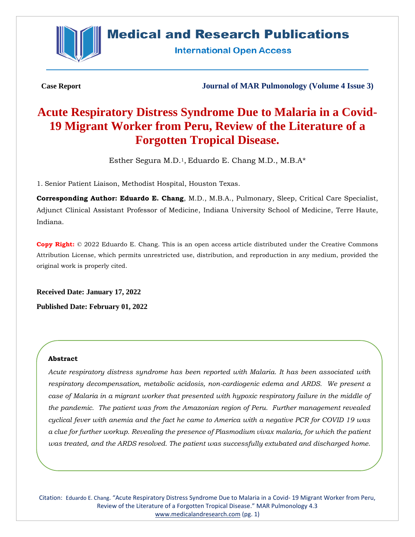

## **Medical and Research Publications**

**International Open Access** 

**Case Report Journal of MAR Pulmonology (Volume 4 Issue 3)**

# **Acute Respiratory Distress Syndrome Due to Malaria in a Covid-19 Migrant Worker from Peru, Review of the Literature of a Forgotten Tropical Disease.**

Esther Segura M.D.<sup>1</sup>, Eduardo E. Chang M.D., M.B. $A^*$ 

1. Senior Patient Liaison, Methodist Hospital, Houston Texas.

**Corresponding Author: Eduardo E. Chang**, M.D., M.B.A., Pulmonary, Sleep, Critical Care Specialist, Adjunct Clinical Assistant Professor of Medicine, Indiana University School of Medicine, Terre Haute, Indiana.

**Copy Right:** © 2022 Eduardo E. Chang. This is an open access article distributed under the Creative Commons Attribution License, which permits unrestricted use, distribution, and reproduction in any medium, provided the original work is properly cited.

**Received Date: January 17, 2022 Published Date: February 01, 2022**

## **Abstract**

*Acute respiratory distress syndrome has been reported with Malaria. It has been associated with respiratory decompensation, metabolic acidosis, non-cardiogenic edema and ARDS. We present a case of Malaria in a migrant worker that presented with hypoxic respiratory failure in the middle of the pandemic. The patient was from the Amazonian region of Peru. Further management revealed cyclical fever with anemia and the fact he came to America with a negative PCR for COVID 19 was a clue for further workup. Revealing the presence of Plasmodium vivax malaria, for which the patient was treated, and the ARDS resolved. The patient was successfully extubated and discharged home.*

Citation: Eduardo E. Chang. "Acute Respiratory Distress Syndrome Due to Malaria in a Covid- 19 Migrant Worker from Peru, Review of the Literature of a Forgotten Tropical Disease." MAR Pulmonology 4.3 [www.medicalandresearch.com](http://www.medicalandresearch.com/) (pg. 1)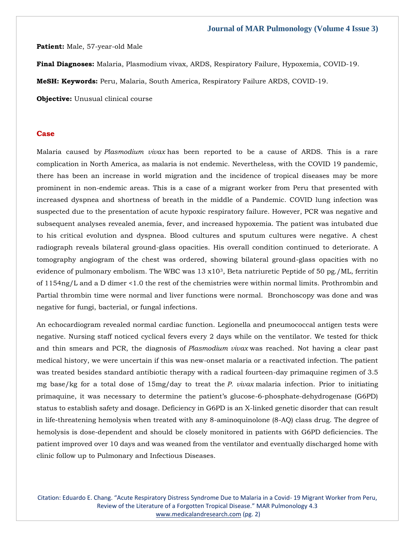#### **Patient:** Male, 57-year-old Male

**Final Diagnoses:** Malaria, Plasmodium vivax, ARDS, Respiratory Failure, Hypoxemia, COVID-19.

**MeSH: Keywords:** Peru, Malaria, South America, Respiratory Failure ARDS, COVID-19.

**Objective:** Unusual clinical course

#### **Case**

Malaria caused by *Plasmodium vivax* has been reported to be a cause of ARDS. This is a rare complication in North America, as malaria is not endemic. Nevertheless, with the COVID 19 pandemic, there has been an increase in world migration and the incidence of tropical diseases may be more prominent in non-endemic areas. This is a case of a migrant worker from Peru that presented with increased dyspnea and shortness of breath in the middle of a Pandemic. COVID lung infection was suspected due to the presentation of acute hypoxic respiratory failure. However, PCR was negative and subsequent analyses revealed anemia, fever, and increased hypoxemia. The patient was intubated due to his critical evolution and dyspnea. Blood cultures and sputum cultures were negative. A chest radiograph reveals bilateral ground-glass opacities. His overall condition continued to deteriorate. A tomography angiogram of the chest was ordered, showing bilateral ground-glass opacities with no evidence of pulmonary embolism. The WBC was  $13 \times 10^3$ , Beta natriuretic Peptide of 50 pg./ML, ferritin of 1154ng/L and a D dimer <1.0 the rest of the chemistries were within normal limits. Prothrombin and Partial thrombin time were normal and liver functions were normal. Bronchoscopy was done and was negative for fungi, bacterial, or fungal infections.

An echocardiogram revealed normal cardiac function. Legionella and pneumococcal antigen tests were negative. Nursing staff noticed cyclical fevers every 2 days while on the ventilator. We tested for thick and thin smears and PCR, the diagnosis of *Plasmodium vivax* was reached. Not having a clear past medical history, we were uncertain if this was new-onset malaria or a reactivated infection. The patient was treated besides standard antibiotic therapy with a radical fourteen-day primaquine regimen of 3.5 mg base/kg for a total dose of 15mg/day to treat the *P. vivax* malaria infection. Prior to initiating primaquine, it was necessary to determine the patient's glucose-6-phosphate-dehydrogenase (G6PD) status to establish safety and dosage. Deficiency in G6PD is an X-linked genetic disorder that can result in life-threatening hemolysis when treated with any 8-aminoquinolone (8-AQ) class drug. The degree of hemolysis is dose-dependent and should be closely monitored in patients with G6PD deficiencies. The patient improved over 10 days and was weaned from the ventilator and eventually discharged home with clinic follow up to Pulmonary and Infectious Diseases.

Citation: Eduardo E. Chang. "Acute Respiratory Distress Syndrome Due to Malaria in a Covid- 19 Migrant Worker from Peru, Review of the Literature of a Forgotten Tropical Disease." MAR Pulmonology 4.3 [www.medicalandresearch.com](http://www.medicalandresearch.com/) (pg. 2)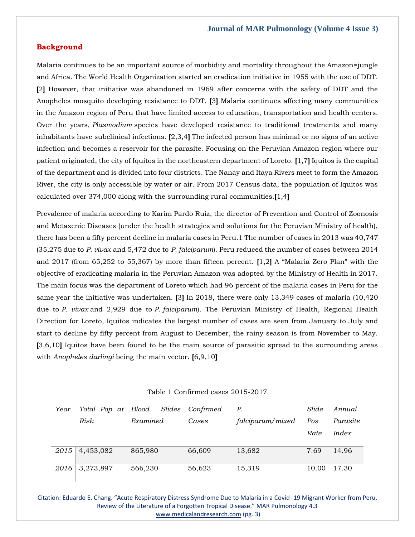## **Background**

Malaria continues to be an important source of morbidity and mortality throughout the Amazon=jungle and Africa. The World Health Organization started an eradication initiative in 1955 with the use of DDT. **[**2**]** However, that initiative was abandoned in 1969 after concerns with the safety of DDT and the Anopheles mosquito developing resistance to DDT. **[**3**]** Malaria continues affecting many communities in the Amazon region of Peru that have limited access to education, transportation and health centers. Over the years, *Plasmodium* species have developed resistance to traditional treatments and many inhabitants have subclinical infections. **[**2,3,4**]** The infected person has minimal or no signs of an active infection and becomes a reservoir for the parasite. Focusing on the Peruvian Amazon region where our patient originated, the city of Iquitos in the northeastern department of Loreto. **[**1,7**]** Iquitos is the capital of the department and is divided into four districts. The Nanay and Itaya Rivers meet to form the Amazon River, the city is only accessible by water or air. From 2017 Census data, the population of Iquitos was calculated over 374,000 along with the surrounding rural communities.**[**1,4**]**

Prevalence of malaria according to Karim Pardo Ruiz, the director of Prevention and Control of Zoonosis and Metaxenic Diseases (under the health strategies and solutions for the Peruvian Ministry of health), there has been a fifty percent decline in malaria cases in Peru.1 The number of cases in 2013 was 40,747 (35,275 due to *P. vivax* and 5,472 due to *P. falciparum*). Peru reduced the number of cases between 2014 and 2017 (from 65,252 to 55,367) by more than fifteen percent. **[**1,2**]** A "Malaria Zero Plan" with the objective of eradicating malaria in the Peruvian Amazon was adopted by the Ministry of Health in 2017. The main focus was the department of Loreto which had 96 percent of the malaria cases in Peru for the same year the initiative was undertaken. **[**3**]** In 2018, there were only 13,349 cases of malaria (10,420 due to *P. vivax* and 2,929 due to *P*. *falciparum*). The Peruvian Ministry of Health, Regional Health Direction for Loreto, Iquitos indicates the largest number of cases are seen from January to July and start to decline by fifty percent from August to December, the rainy season is from November to May. **[**3,6,10**]** Iquitos have been found to be the main source of parasitic spread to the surrounding areas with *Anopheles darlingi* being the main vector. **[**6,9,10**]**

| Table 1 Confirmed cases 2015-2017 |  |  |  |  |
|-----------------------------------|--|--|--|--|
|-----------------------------------|--|--|--|--|

| Year | Total Pop at Blood |          | Slides Confirmed | Р.               | Slide | Annual   |
|------|--------------------|----------|------------------|------------------|-------|----------|
|      | Risk               | Examined | Cases            | falciparum/mixed | Pos   | Parasite |
|      |                    |          |                  |                  | Rate  | Index    |
|      |                    |          |                  |                  |       |          |
|      | $2015$ 4,453,082   | 865,980  | 66,609           | 13,682           | 7.69  | 14.96    |
|      | 2016 3,273,897     | 566,230  | 56,623           | 15,319           | 10.00 | 17.30    |

Citation: Eduardo E. Chang. "Acute Respiratory Distress Syndrome Due to Malaria in a Covid- 19 Migrant Worker from Peru, Review of the Literature of a Forgotten Tropical Disease." MAR Pulmonology 4.3 [www.medicalandresearch.com](http://www.medicalandresearch.com/) (pg. 3)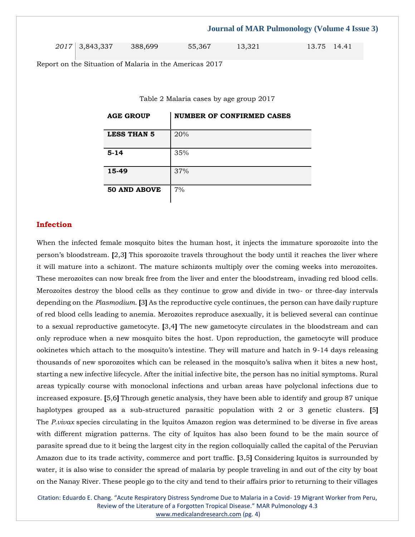|                  |         |        | <b>Journal of MAR Pulmonology (Volume 4 Issue 3)</b> |             |  |
|------------------|---------|--------|------------------------------------------------------|-------------|--|
| $2017$ 3,843,337 | 388.699 | 55,367 | 13.321                                               | 13.75 14.41 |  |

Report on the Situation of Malaria in the Americas 2017

Table 2 Malaria cases by age group 2017

| <b>AGE GROUP</b>    | $\parallel$ NUMBER OF CONFIRMED CASES |
|---------------------|---------------------------------------|
| <b>LESS THAN 5</b>  | 20%                                   |
| $5 - 14$            | 35%                                   |
| 15-49               | 37%                                   |
| <b>50 AND ABOVE</b> | 7%                                    |

## **Infection**

When the infected female mosquito bites the human host, it injects the immature sporozoite into the person's bloodstream. **[**2,3**]** This sporozoite travels throughout the body until it reaches the liver where it will mature into a schizont. The mature schizonts multiply over the coming weeks into merozoites. These merozoites can now break free from the liver and enter the bloodstream, invading red blood cells. Merozoites destroy the blood cells as they continue to grow and divide in two- or three-day intervals depending on the *Plasmodium*. **[**3**]** As the reproductive cycle continues, the person can have daily rupture of red blood cells leading to anemia. Merozoites reproduce asexually, it is believed several can continue to a sexual reproductive gametocyte. **[**3,4**]** The new gametocyte circulates in the bloodstream and can only reproduce when a new mosquito bites the host. Upon reproduction, the gametocyte will produce ookinetes which attach to the mosquito's intestine. They will mature and hatch in 9-14 days releasing thousands of new sporozoites which can be released in the mosquito's saliva when it bites a new host, starting a new infective lifecycle. After the initial infective bite, the person has no initial symptoms. Rural areas typically course with monoclonal infections and urban areas have polyclonal infections due to increased exposure. **[**5,6**]** Through genetic analysis, they have been able to identify and group 87 unique haplotypes grouped as a sub-structured parasitic population with 2 or 3 genetic clusters. **[**5**]** The *P.vivax* species circulating in the Iquitos Amazon region was determined to be diverse in five areas with different migration patterns. The city of Iquitos has also been found to be the main source of parasite spread due to it being the largest city in the region colloquially called the capital of the Peruvian Amazon due to its trade activity, commerce and port traffic. **[**3,5**]** Considering Iquitos is surrounded by water, it is also wise to consider the spread of malaria by people traveling in and out of the city by boat on the Nanay River. These people go to the city and tend to their affairs prior to returning to their villages

Citation: Eduardo E. Chang. "Acute Respiratory Distress Syndrome Due to Malaria in a Covid- 19 Migrant Worker from Peru, Review of the Literature of a Forgotten Tropical Disease." MAR Pulmonology 4.3 [www.medicalandresearch.com](http://www.medicalandresearch.com/) (pg. 4)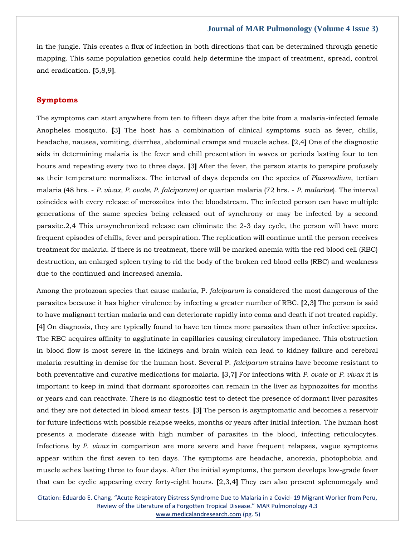in the jungle. This creates a flux of infection in both directions that can be determined through genetic mapping. This same population genetics could help determine the impact of treatment, spread, control and eradication. **[**5,8,9**]**.

#### **Symptoms**

The symptoms can start anywhere from ten to fifteen days after the bite from a malaria-infected female Anopheles mosquito. **[**3**]** The host has a combination of clinical symptoms such as fever, chills, headache, nausea, vomiting, diarrhea, abdominal cramps and muscle aches. **[**2,4**]** One of the diagnostic aids in determining malaria is the fever and chill presentation in waves or periods lasting four to ten hours and repeating every two to three days. **[**3**]** After the fever, the person starts to perspire profusely as their temperature normalizes. The interval of days depends on the species of *Plasmodium*, tertian malaria (48 hrs. - *P. vivax, P. ovale, P. falciparum)* or quartan malaria (72 hrs. - *P. malariae*). The interval coincides with every release of merozoites into the bloodstream. The infected person can have multiple generations of the same species being released out of synchrony or may be infected by a second parasite.2,4 This unsynchronized release can eliminate the 2-3 day cycle, the person will have more frequent episodes of chills, fever and perspiration. The replication will continue until the person receives treatment for malaria. If there is no treatment, there will be marked anemia with the red blood cell (RBC) destruction, an enlarged spleen trying to rid the body of the broken red blood cells (RBC) and weakness due to the continued and increased anemia.

Among the protozoan species that cause malaria, P. *falciparum* is considered the most dangerous of the parasites because it has higher virulence by infecting a greater number of RBC. **[**2,3**]** The person is said to have malignant tertian malaria and can deteriorate rapidly into coma and death if not treated rapidly. **[**4**]** On diagnosis, they are typically found to have ten times more parasites than other infective species. The RBC acquires affinity to agglutinate in capillaries causing circulatory impedance. This obstruction in blood flow is most severe in the kidneys and brain which can lead to kidney failure and cerebral malaria resulting in demise for the human host. Several P. *falciparum* strains have become resistant to both preventative and curative medications for malaria. **[**3,7**]** For infections with *P. ovale* or *P. vivax* it is important to keep in mind that dormant sporozoites can remain in the liver as hypnozoites for months or years and can reactivate. There is no diagnostic test to detect the presence of dormant liver parasites and they are not detected in blood smear tests. **[**3**]** The person is asymptomatic and becomes a reservoir for future infections with possible relapse weeks, months or years after initial infection. The human host presents a moderate disease with high number of parasites in the blood, infecting reticulocytes. Infections by *P. vivax* in comparison are more severe and have frequent relapses, vague symptoms appear within the first seven to ten days. The symptoms are headache, anorexia, photophobia and muscle aches lasting three to four days. After the initial symptoms, the person develops low-grade fever that can be cyclic appearing every forty-eight hours. **[**2,3,4**]** They can also present splenomegaly and

Citation: Eduardo E. Chang. "Acute Respiratory Distress Syndrome Due to Malaria in a Covid- 19 Migrant Worker from Peru, Review of the Literature of a Forgotten Tropical Disease." MAR Pulmonology 4.3 [www.medicalandresearch.com](http://www.medicalandresearch.com/) (pg. 5)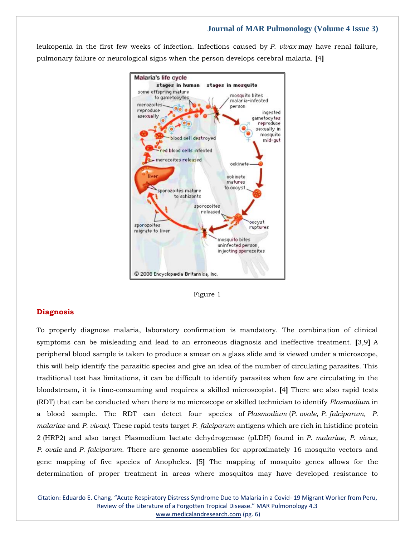leukopenia in the first few weeks of infection. Infections caused by *P. vivax* may have renal failure, pulmonary failure or neurological signs when the person develops cerebral malaria. **[**4**]**



Figure 1

#### **Diagnosis**

To properly diagnose malaria, laboratory confirmation is mandatory. The combination of clinical symptoms can be misleading and lead to an erroneous diagnosis and ineffective treatment. **[**3,9**]** A peripheral blood sample is taken to produce a smear on a glass slide and is viewed under a microscope, this will help identify the parasitic species and give an idea of the number of circulating parasites. This traditional test has limitations, it can be difficult to identify parasites when few are circulating in the bloodstream, it is time-consuming and requires a skilled microscopist. **[**4**]** There are also rapid tests (RDT) that can be conducted when there is no microscope or skilled technician to identify *Plasmodium* in a blood sample. The RDT can detect four species of *Plasmodium* (*P*. *ovale*, *P. falciparum, P. malariae* and *P. vivax)*. These rapid tests target *P. falciparum* antigens which are rich in histidine protein 2 (HRP2) and also target Plasmodium lactate dehydrogenase (pLDH) found in *P. malariae, P. vivax, P*. *ovale* and *P. falciparum*. There are genome assemblies for approximately 16 mosquito vectors and gene mapping of five species of Anopheles. **[**5**]** The mapping of mosquito genes allows for the determination of proper treatment in areas where mosquitos may have developed resistance to

Citation: Eduardo E. Chang. "Acute Respiratory Distress Syndrome Due to Malaria in a Covid- 19 Migrant Worker from Peru, Review of the Literature of a Forgotten Tropical Disease." MAR Pulmonology 4.3 [www.medicalandresearch.com](http://www.medicalandresearch.com/) (pg. 6)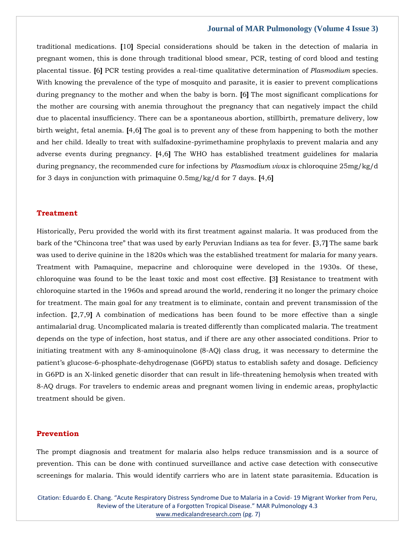traditional medications. **[**10**]** Special considerations should be taken in the detection of malaria in pregnant women, this is done through traditional blood smear, PCR, testing of cord blood and testing placental tissue. **[**6**]** PCR testing provides a real-time qualitative determination of *Plasmodium* species. With knowing the prevalence of the type of mosquito and parasite, it is easier to prevent complications during pregnancy to the mother and when the baby is born. **[**6**]** The most significant complications for the mother are coursing with anemia throughout the pregnancy that can negatively impact the child due to placental insufficiency. There can be a spontaneous abortion, stillbirth, premature delivery, low birth weight, fetal anemia. **[**4,6**]** The goal is to prevent any of these from happening to both the mother and her child. Ideally to treat with sulfadoxine-pyrimethamine prophylaxis to prevent malaria and any adverse events during pregnancy. **[**4,6**]** The WHO has established treatment guidelines for malaria during pregnancy, the recommended cure for infections by *Plasmodium vivax* is chloroquine 25mg/kg/d for 3 days in conjunction with primaquine 0.5mg/kg/d for 7 days. **[**4,6**]**

#### **Treatment**

Historically, Peru provided the world with its first treatment against malaria. It was produced from the bark of the "Chincona tree" that was used by early Peruvian Indians as tea for fever. **[**3,7**]** The same bark was used to derive quinine in the 1820s which was the established treatment for malaria for many years. Treatment with Pamaquine, mepacrine and chloroquine were developed in the 1930s. Of these, chloroquine was found to be the least toxic and most cost effective. **[**3**]** Resistance to treatment with chloroquine started in the 1960s and spread around the world, rendering it no longer the primary choice for treatment. The main goal for any treatment is to eliminate, contain and prevent transmission of the infection. **[**2,7,9**]** A combination of medications has been found to be more effective than a single antimalarial drug. Uncomplicated malaria is treated differently than complicated malaria. The treatment depends on the type of infection, host status, and if there are any other associated conditions. Prior to initiating treatment with any 8-aminoquinolone (8-AQ) class drug, it was necessary to determine the patient's glucose-6-phosphate-dehydrogenase (G6PD) status to establish safety and dosage. Deficiency in G6PD is an X-linked genetic disorder that can result in life-threatening hemolysis when treated with 8-AQ drugs. For travelers to endemic areas and pregnant women living in endemic areas, prophylactic treatment should be given.

#### **Prevention**

The prompt diagnosis and treatment for malaria also helps reduce transmission and is a source of prevention. This can be done with continued surveillance and active case detection with consecutive screenings for malaria. This would identify carriers who are in latent state parasitemia. Education is

Citation: Eduardo E. Chang. "Acute Respiratory Distress Syndrome Due to Malaria in a Covid- 19 Migrant Worker from Peru, Review of the Literature of a Forgotten Tropical Disease." MAR Pulmonology 4.3 [www.medicalandresearch.com](http://www.medicalandresearch.com/) (pg. 7)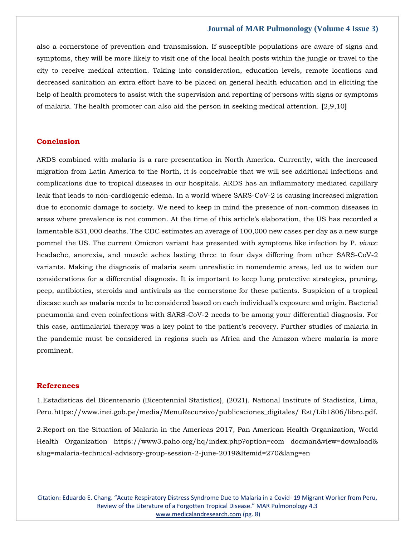also a cornerstone of prevention and transmission. If susceptible populations are aware of signs and symptoms, they will be more likely to visit one of the local health posts within the jungle or travel to the city to receive medical attention. Taking into consideration, education levels, remote locations and decreased sanitation an extra effort have to be placed on general health education and in eliciting the help of health promoters to assist with the supervision and reporting of persons with signs or symptoms of malaria. The health promoter can also aid the person in seeking medical attention. **[**2,9,10**]**

### **Conclusion**

ARDS combined with malaria is a rare presentation in North America. Currently, with the increased migration from Latin America to the North, it is conceivable that we will see additional infections and complications due to tropical diseases in our hospitals. ARDS has an inflammatory mediated capillary leak that leads to non-cardiogenic edema. In a world where SARS-CoV-2 is causing increased migration due to economic damage to society. We need to keep in mind the presence of non-common diseases in areas where prevalence is not common. At the time of this article's elaboration, the US has recorded a lamentable 831,000 deaths. The CDC estimates an average of 100,000 new cases per day as a new surge pommel the US. The current Omicron variant has presented with symptoms like infection by P. *vivax*: headache, anorexia, and muscle aches lasting three to four days differing from other SARS-CoV-2 variants. Making the diagnosis of malaria seem unrealistic in nonendemic areas, led us to widen our considerations for a differential diagnosis. It is important to keep lung protective strategies, pruning, peep, antibiotics, steroids and antivirals as the cornerstone for these patients. Suspicion of a tropical disease such as malaria needs to be considered based on each individual's exposure and origin. Bacterial pneumonia and even coinfections with SARS-CoV-2 needs to be among your differential diagnosis. For this case, antimalarial therapy was a key point to the patient's recovery. Further studies of malaria in the pandemic must be considered in regions such as Africa and the Amazon where malaria is more prominent.

### **References**

1.Estadisticas del Bicentenario (Bicentennial Statistics), (2021). National Institute of Stadistics, Lima, Peru.https://www.inei.gob.pe/media/MenuRecursivo/publicaciones\_digitales/ Est/Lib1806/libro.pdf.

2.Report on the Situation of Malaria in the Americas 2017, Pan American Health Organization, World Health Organization https://www3.paho.org/hq/index.php?option=com docman&view=download& slug=malaria-technical-advisory-group-session-2-june-2019&Itemid=270&lang=en

Citation: Eduardo E. Chang. "Acute Respiratory Distress Syndrome Due to Malaria in a Covid- 19 Migrant Worker from Peru, Review of the Literature of a Forgotten Tropical Disease." MAR Pulmonology 4.3 [www.medicalandresearch.com](http://www.medicalandresearch.com/) (pg. 8)